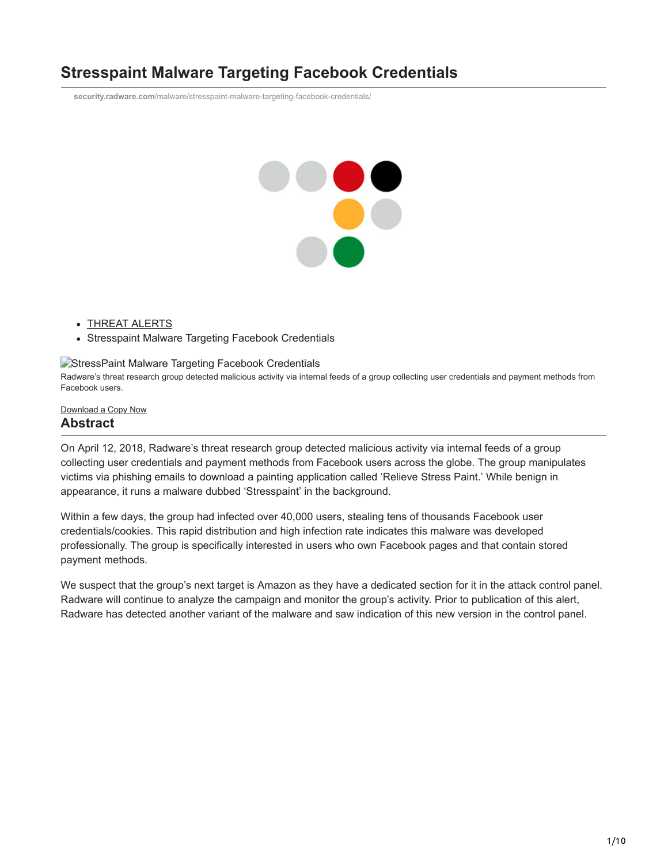# **Stresspaint Malware Targeting Facebook Credentials**

**security.radware.com**[/malware/stresspaint-malware-targeting-facebook-credentials/](https://security.radware.com/malware/stresspaint-malware-targeting-facebook-credentials/)



- [THREAT ALERTS](https://security.radware.com/security/threat-advisories-attack-reports)
- Stresspaint Malware Targeting Facebook Credentials

#### **[StressPaint Malware Targeting Facebook Credentials](https://security.radware.com/getattachment/Security/Malware-Alerts/1957/ERT-Alert-StressPaint-Malware.pdf.aspx?lang=en-US)**

Radware's threat research group detected malicious activity via internal feeds of a group collecting user credentials and payment methods from Facebook users.

#### [Download](https://security.radware.com/getattachment/Security/Malware-Alerts/1957/ERT-Alert-StressPaint-Malware.pdf.aspx?lang=en-US) a Copy Now

#### **Abstract**

On April 12, 2018, Radware's threat research group detected malicious activity via internal feeds of a group collecting user credentials and payment methods from Facebook users across the globe. The group manipulates victims via phishing emails to download a painting application called 'Relieve Stress Paint.' While benign in appearance, it runs a malware dubbed 'Stresspaint' in the background.

Within a few days, the group had infected over 40,000 users, stealing tens of thousands Facebook user credentials/cookies. This rapid distribution and high infection rate indicates this malware was developed professionally. The group is specifically interested in users who own Facebook pages and that contain stored payment methods.

We suspect that the group's next target is Amazon as they have a dedicated section for it in the attack control panel. Radware will continue to analyze the campaign and monitor the group's activity. Prior to publication of this alert, Radware has detected another variant of the malware and saw indication of this new version in the control panel.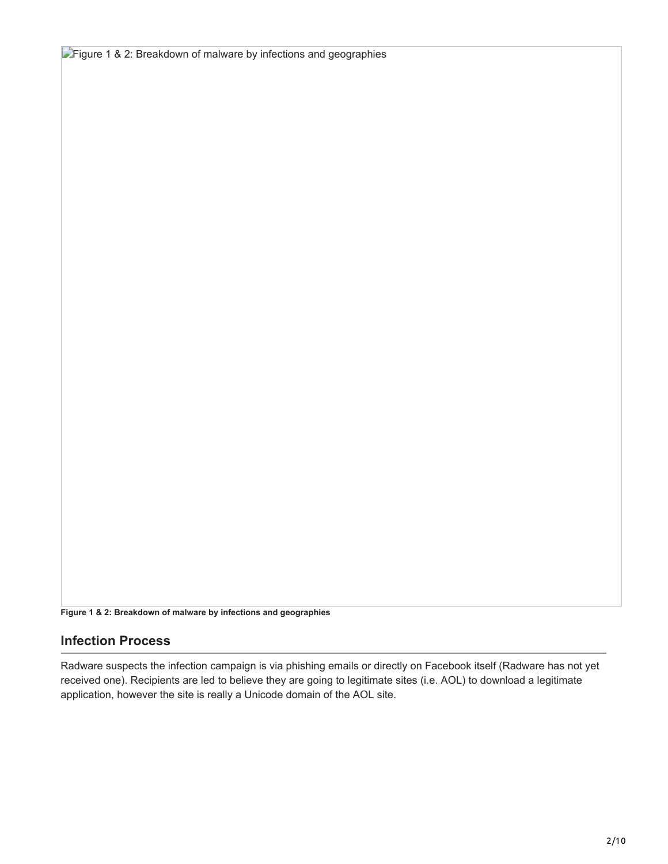**Figure 1 & 2: Breakdown of malware by infections and geographies** 

**Figure 1 & 2: Breakdown of malware by infections and geographies**

### **Infection Process**

Radware suspects the infection campaign is via phishing emails or directly on Facebook itself (Radware has not yet received one). Recipients are led to believe they are going to legitimate sites (i.e. AOL) to download a legitimate application, however the site is really a Unicode domain of the AOL site.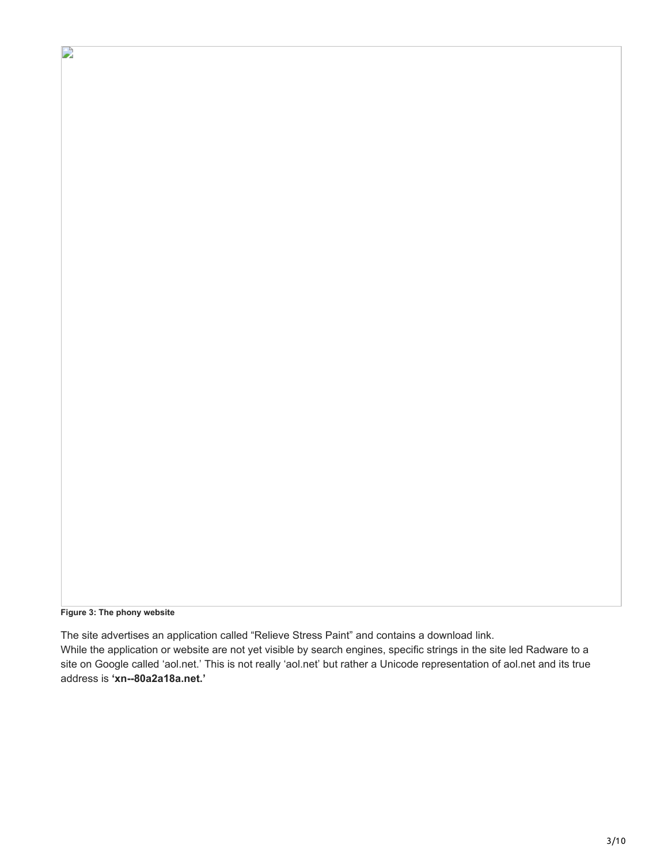**Figure 3: The phony website**

 $\mathbf{r}$ 

The site advertises an application called "Relieve Stress Paint" and contains a download link. While the application or website are not yet visible by search engines, specific strings in the site led Radware to a site on Google called 'aol.net.' This is not really 'aol.net' but rather a Unicode representation of aol.net and its true address is **'xn--80a2a18a.net.'**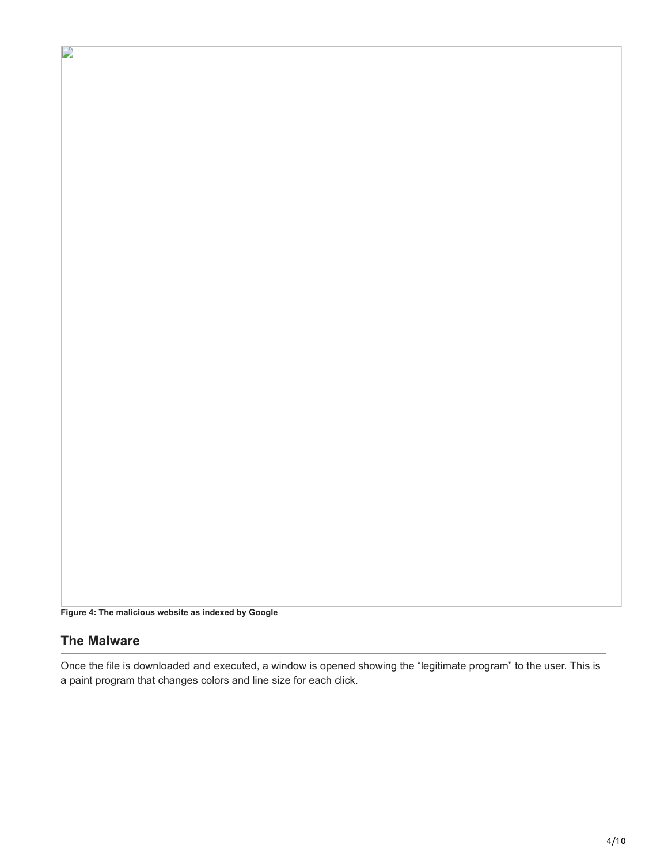**Figure 4: The malicious website as indexed by Google**

### **The Malware**

 $\overline{\phantom{a}}$ 

Once the file is downloaded and executed, a window is opened showing the "legitimate program" to the user. This is a paint program that changes colors and line size for each click.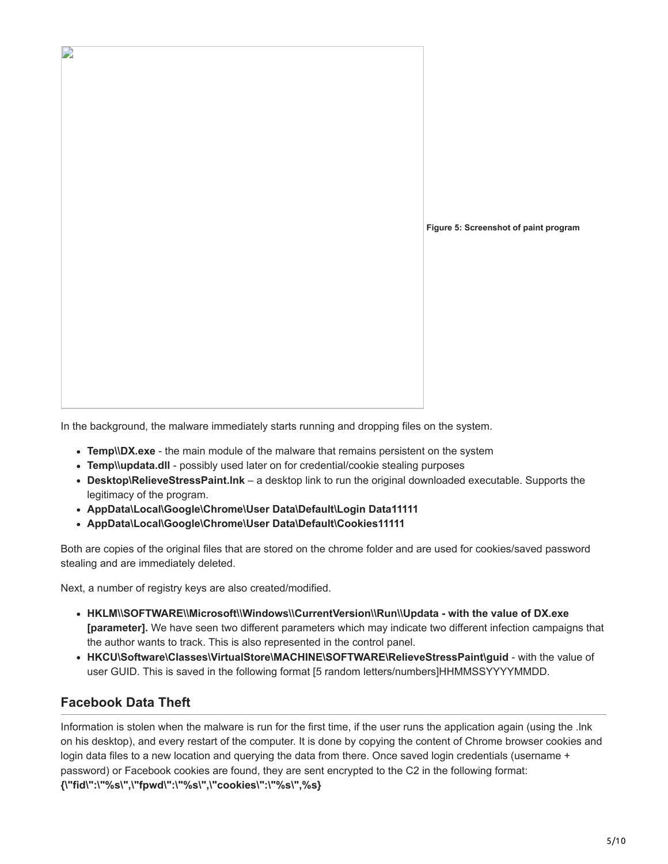

In the background, the malware immediately starts running and dropping files on the system.

- **Temp\\DX.exe**  the main module of the malware that remains persistent on the system
- **Temp\\updata.dll**  possibly used later on for credential/cookie stealing purposes
- **Desktop\RelieveStressPaint.lnk** a desktop link to run the original downloaded executable. Supports the legitimacy of the program.
- **AppData\Local\Google\Chrome\User Data\Default\Login Data11111**
- **AppData\Local\Google\Chrome\User Data\Default\Cookies11111**

Both are copies of the original files that are stored on the chrome folder and are used for cookies/saved password stealing and are immediately deleted.

Next, a number of registry keys are also created/modified.

- **HKLM\\SOFTWARE\\Microsoft\\Windows\\CurrentVersion\\Run\\Updata with the value of DX.exe [parameter].** We have seen two different parameters which may indicate two different infection campaigns that the author wants to track. This is also represented in the control panel.
- **HKCU\Software\Classes\VirtualStore\MACHINE\SOFTWARE\RelieveStressPaint\guid**  with the value of user GUID. This is saved in the following format [5 random letters/numbers]HHMMSSYYYYMMDD.

### **Facebook Data Theft**

Information is stolen when the malware is run for the first time, if the user runs the application again (using the .lnk on his desktop), and every restart of the computer. It is done by copying the content of Chrome browser cookies and login data files to a new location and querying the data from there. Once saved login credentials (username + password) or Facebook cookies are found, they are sent encrypted to the C2 in the following format: **{\"fid\":\"%s\",\"fpwd\":\"%s\",\"cookies\":\"%s\",%s}**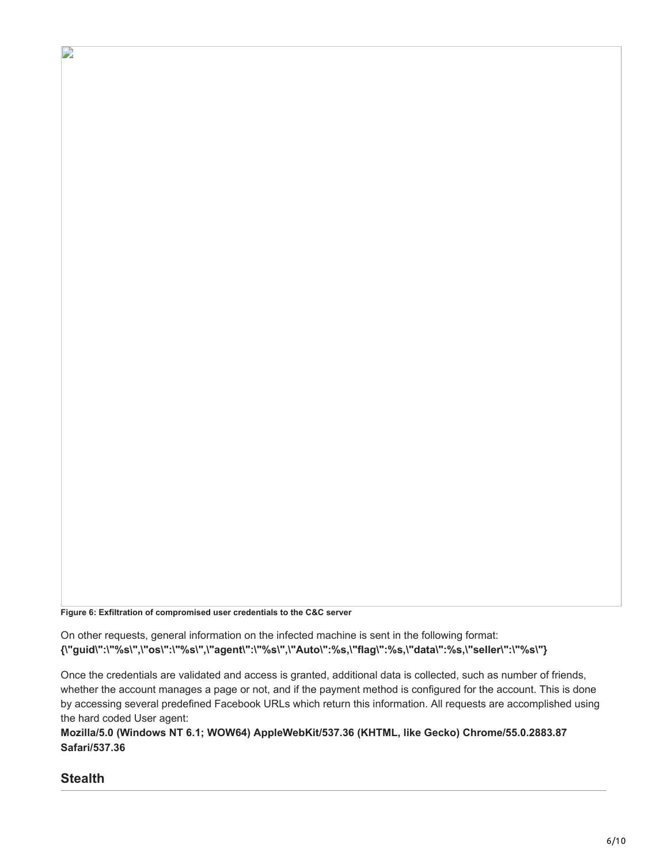**Figure 6: Exfiltration of compromised user credentials to the C&C server**

On other requests, general information on the infected machine is sent in the following format: **{\"guid\":\"%s\",\"os\":\"%s\",\"agent\":\"%s\",\"Auto\":%s,\"flag\":%s,\"data\":%s,\"seller\":\"%s\"}**

Once the credentials are validated and access is granted, additional data is collected, such as number of friends, whether the account manages a page or not, and if the payment method is configured for the account. This is done by accessing several predefined Facebook URLs which return this information. All requests are accomplished using the hard coded User agent:

**Mozilla/5.0 (Windows NT 6.1; WOW64) AppleWebKit/537.36 (KHTML, like Gecko) Chrome/55.0.2883.87 Safari/537.36**

# **Stealth**

D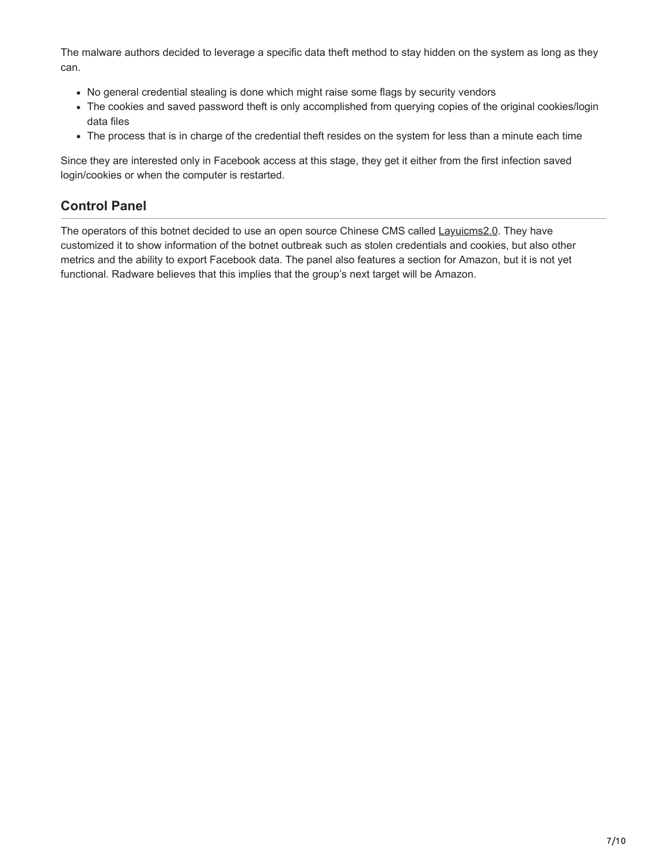The malware authors decided to leverage a specific data theft method to stay hidden on the system as long as they can.

- No general credential stealing is done which might raise some flags by security vendors
- The cookies and saved password theft is only accomplished from querying copies of the original cookies/login data files
- The process that is in charge of the credential theft resides on the system for less than a minute each time

Since they are interested only in Facebook access at this stage, they get it either from the first infection saved login/cookies or when the computer is restarted.

# **Control Panel**

The operators of this botnet decided to use an open source Chinese CMS called [Layuicms2.0](https://github.com/BrotherMa/layuicms2.0). They have customized it to show information of the botnet outbreak such as stolen credentials and cookies, but also other metrics and the ability to export Facebook data. The panel also features a section for Amazon, but it is not yet functional. Radware believes that this implies that the group's next target will be Amazon.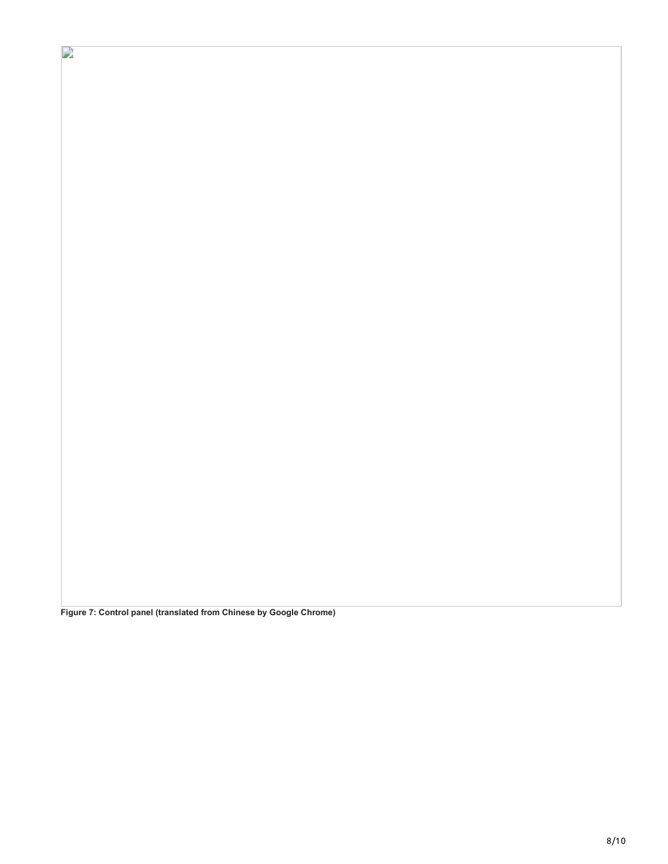**Figure 7: Control panel (translated from Chinese by Google Chrome)**

 $\overline{\phantom{a}}$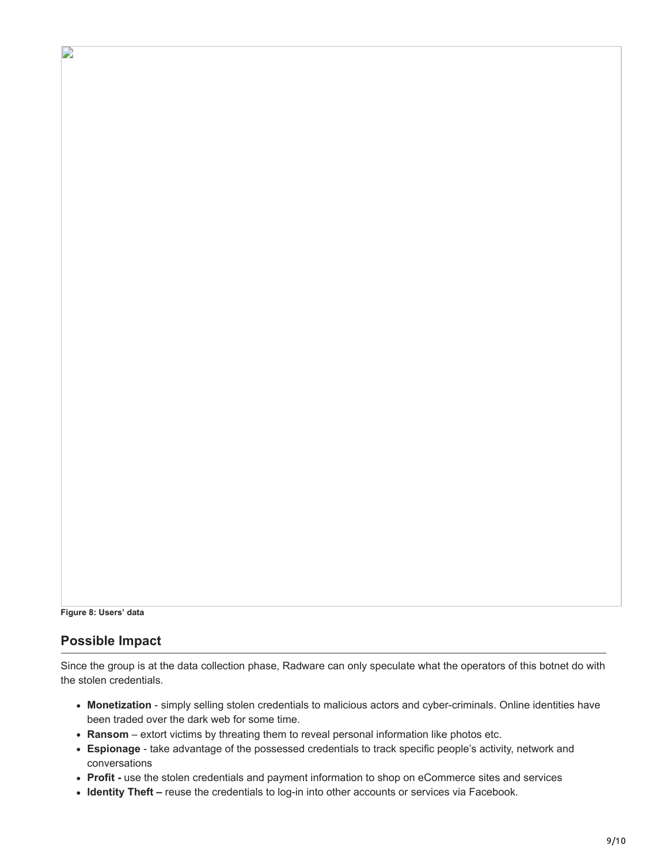```
Figure 8: Users' data
```
D

### **Possible Impact**

Since the group is at the data collection phase, Radware can only speculate what the operators of this botnet do with the stolen credentials.

- **Monetization** simply selling stolen credentials to malicious actors and cyber-criminals. Online identities have been traded over the dark web for some time.
- **Ransom**  extort victims by threating them to reveal personal information like photos etc.
- **Espionage** take advantage of the possessed credentials to track specific people's activity, network and conversations
- **Profit -** use the stolen credentials and payment information to shop on eCommerce sites and services
- **Identity Theft –** reuse the credentials to log-in into other accounts or services via Facebook.